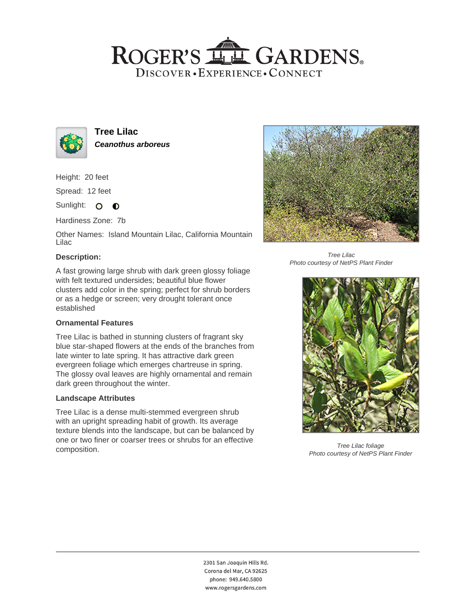## ROGER'S LL GARDENS. DISCOVER · EXPERIENCE · CONNECT



**Tree Lilac Ceanothus arboreus**

Height: 20 feet

Spread: 12 feet

Sunlight: O **O** 

Hardiness Zone: 7b

Other Names: Island Mountain Lilac, California Mountain Lilac

### **Description:**

A fast growing large shrub with dark green glossy foliage with felt textured undersides; beautiful blue flower clusters add color in the spring; perfect for shrub borders or as a hedge or screen; very drought tolerant once established

### **Ornamental Features**

Tree Lilac is bathed in stunning clusters of fragrant sky blue star-shaped flowers at the ends of the branches from late winter to late spring. It has attractive dark green evergreen foliage which emerges chartreuse in spring. The glossy oval leaves are highly ornamental and remain dark green throughout the winter.

### **Landscape Attributes**

Tree Lilac is a dense multi-stemmed evergreen shrub with an upright spreading habit of growth. Its average texture blends into the landscape, but can be balanced by one or two finer or coarser trees or shrubs for an effective composition.



Tree Lilac Photo courtesy of NetPS Plant Finder



Tree Lilac foliage Photo courtesy of NetPS Plant Finder